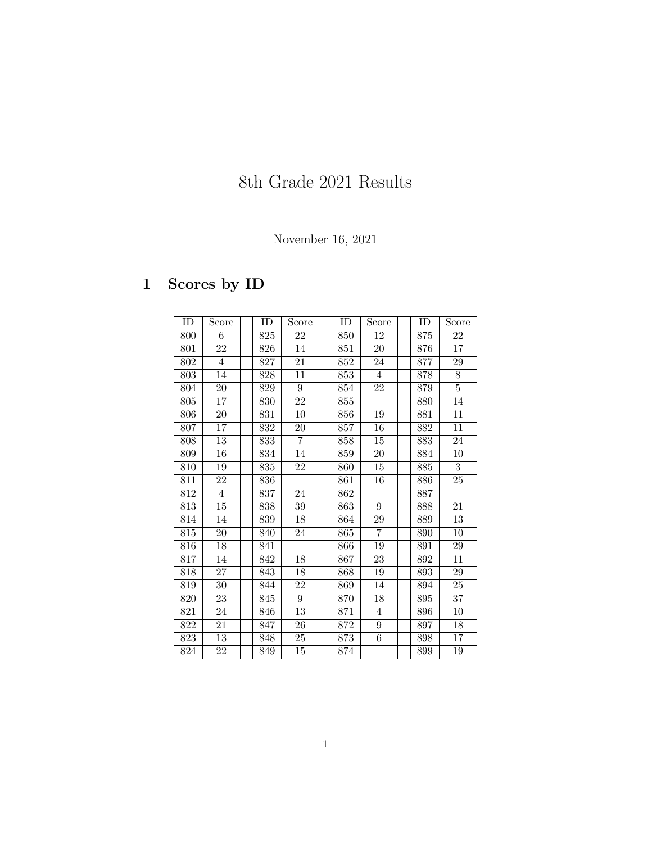# 8th Grade 2021 Results

### November 16, 2021

## 1 Scores by ID

| ID  | Score           | ID  | Score            | ID  | Score            | ID  | Score           |
|-----|-----------------|-----|------------------|-----|------------------|-----|-----------------|
| 800 | 6               | 825 | 22               | 850 | 12               | 875 | 22              |
| 801 | $\overline{22}$ | 826 | 14               | 851 | $\overline{20}$  | 876 | 17              |
| 802 | $\overline{4}$  | 827 | $\overline{21}$  | 852 | 24               | 877 | 29              |
| 803 | $\overline{14}$ | 828 | 11               | 853 | 4                | 878 | 8               |
| 804 | $20\,$          | 829 | $\boldsymbol{9}$ | 854 | 22               | 879 | $\overline{5}$  |
| 805 | 17              | 830 | $\overline{22}$  | 855 |                  | 880 | 14              |
| 806 | 20              | 831 | 10               | 856 | 19               | 881 | 11              |
| 807 | 17              | 832 | 20               | 857 | 16               | 882 | 11              |
| 808 | 13              | 833 | 7                | 858 | 15               | 883 | 24              |
| 809 | $\overline{16}$ | 834 | 14               | 859 | 20               | 884 | 10              |
| 810 | 19              | 835 | 22               | 860 | 15               | 885 | $\overline{3}$  |
| 811 | 22              | 836 |                  | 861 | 16               | 886 | $25\,$          |
| 812 | $\overline{4}$  | 837 | $\overline{24}$  | 862 |                  | 887 |                 |
| 813 | $15\,$          | 838 | 39               | 863 | $\boldsymbol{9}$ | 888 | $\overline{21}$ |
| 814 | 14              | 839 | 18               | 864 | 29               | 889 | 13              |
| 815 | 20              | 840 | $24\,$           | 865 | $\overline{7}$   | 890 | $10\,$          |
| 816 | $\overline{18}$ | 841 |                  | 866 | 19               | 891 | 29              |
| 817 | 14              | 842 | 18               | 867 | 23               | 892 | 11              |
| 818 | 27              | 843 | 18               | 868 | 19               | 893 | 29              |
| 819 | 30 <sup>°</sup> | 844 | 22               | 869 | 14               | 894 | 25              |
| 820 | 23              | 845 | $\overline{9}$   | 870 | 18               | 895 | 37              |
| 821 | 24              | 846 | 13               | 871 | 4                | 896 | 10              |
| 822 | 21              | 847 | 26               | 872 | $\boldsymbol{9}$ | 897 | 18              |
| 823 | $13\,$          | 848 | $25\,$           | 873 | 6                | 898 | 17              |
| 824 | 22              | 849 | $15\,$           | 874 |                  | 899 | $19\,$          |